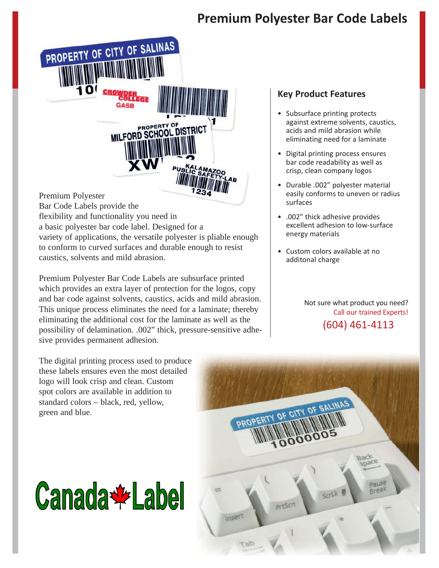## **Premium Polyester Bar Code Labels**

PROPERTY OF CITY OF SALINAS MILFORD SCHOOL DISTRICT Premium Polyester Bar Code Labels provide the flexibility and functionality you need in

a basic polyester bar code label. Designed for a variety of applications, the versatile polyester is pliable enough to conform to curved surfaces and durable enough to resist caustics, solvents and mild abrasion.

Premium Polyester Bar Code Labels are subsurface printed which provides an extra layer of protection for the logos, copy and bar code against solvents, caustics, acids and mild abrasion. This unique process eliminates the need for a laminate; thereby eliminating the additional cost for the laminate as well as the possibility of delamination. .002" thick, pressure-sensitive adhesive provides permanent adhesion.

## **Key Product Features**

- Subsurface printing protects against extreme solvents, caustics, acids and mild abrasion while eliminating need for a laminate
- Digital printing process ensures bar code readability as well as crisp, clean company logos
- Durable .002" polyester material easily conforms to uneven or radius surfaces
- .002" thick adhesive provides excellent adhesion to low‐surface energy materials
- Custom colors available at no additonal charge

Not sure what product you need? Call our trained Experts! (604) 461‐4113

The digital printing process used to produce these labels ensures even the most detailed logo will look crisp and clean. Custom spot colors are available in addition to standard colors – black, red, yellow, green and blue.